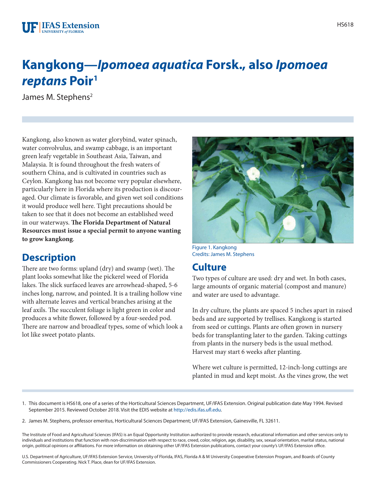#### **F IFAS Extension** UNIVERSITY of FLORIDA

# **Kangkong—***Ipomoea aquatica* **Forsk., also** *Ipomoea reptans* **Poir1**

James M. Stephens<sup>2</sup>

Kangkong, also known as water glorybind, water spinach, water convolvulus, and swamp cabbage, is an important green leafy vegetable in Southeast Asia, Taiwan, and Malaysia. It is found throughout the fresh waters of southern China, and is cultivated in countries such as Ceylon. Kangkong has not become very popular elsewhere, particularly here in Florida where its production is discouraged. Our climate is favorable, and given wet soil conditions it would produce well here. Tight precautions should be taken to see that it does not become an established weed in our waterways. **The Florida Department of Natural Resources must issue a special permit to anyone wanting to grow kangkong**.

### **Description**

There are two forms: upland (dry) and swamp (wet). The plant looks somewhat like the pickerel weed of Florida lakes. The slick surfaced leaves are arrowhead-shaped, 5-6 inches long, narrow, and pointed. It is a trailing hollow vine with alternate leaves and vertical branches arising at the leaf axils. The succulent foliage is light green in color and produces a white flower, followed by a four-seeded pod. There are narrow and broadleaf types, some of which look a lot like sweet potato plants.



Figure 1. Kangkong Credits: James M. Stephens

## **Culture**

Two types of culture are used: dry and wet. In both cases, large amounts of organic material (compost and manure) and water are used to advantage.

In dry culture, the plants are spaced 5 inches apart in raised beds and are supported by trellises. Kangkong is started from seed or cuttings. Plants are often grown in nursery beds for transplanting later to the garden. Taking cuttings from plants in the nursery beds is the usual method. Harvest may start 6 weeks after planting.

Where wet culture is permitted, 12-inch-long cuttings are planted in mud and kept moist. As the vines grow, the wet

- 1. This document is HS618, one of a series of the Horticultural Sciences Department, UF/IFAS Extension. Original publication date May 1994. Revised September 2015. Reviewed October 2018. Visit the EDIS website at [http://edis.ifas.ufl.edu.](http://edis.ifas.ufl.edu)
- 2. James M. Stephens, professor emeritus, Horticultural Sciences Department; UF/IFAS Extension, Gainesville, FL 32611.

The Institute of Food and Agricultural Sciences (IFAS) is an Equal Opportunity Institution authorized to provide research, educational information and other services only to individuals and institutions that function with non-discrimination with respect to race, creed, color, religion, age, disability, sex, sexual orientation, marital status, national origin, political opinions or affiliations. For more information on obtaining other UF/IFAS Extension publications, contact your county's UF/IFAS Extension office.

U.S. Department of Agriculture, UF/IFAS Extension Service, University of Florida, IFAS, Florida A & M University Cooperative Extension Program, and Boards of County Commissioners Cooperating. Nick T. Place, dean for UF/IFAS Extension.